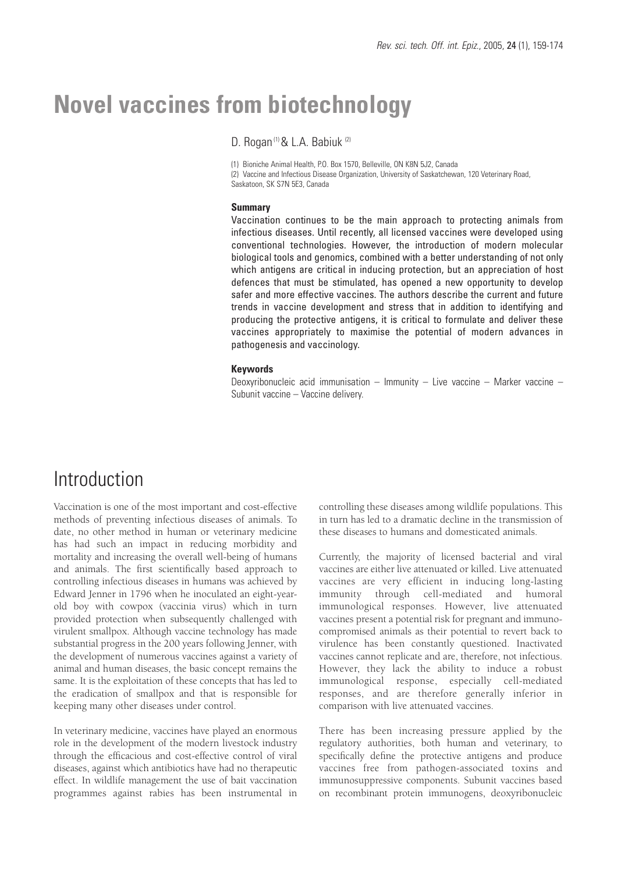# **Novel vaccines from biotechnology**

D. Rogan<sup>(1)</sup> & L.A. Babiuk<sup>(2)</sup>

(1) Bioniche Animal Health, P.O. Box 1570, Belleville, ON K8N 5J2, Canada (2) Vaccine and Infectious Disease Organization, University of Saskatchewan, 120 Veterinary Road, Saskatoon, SK S7N 5E3, Canada

#### **Summary**

Vaccination continues to be the main approach to protecting animals from infectious diseases. Until recently, all licensed vaccines were developed using conventional technologies. However, the introduction of modern molecular biological tools and genomics, combined with a better understanding of not only which antigens are critical in inducing protection, but an appreciation of host defences that must be stimulated, has opened a new opportunity to develop safer and more effective vaccines. The authors describe the current and future trends in vaccine development and stress that in addition to identifying and producing the protective antigens, it is critical to formulate and deliver these vaccines appropriately to maximise the potential of modern advances in pathogenesis and vaccinology.

### **Keywords**

Deoxyribonucleic acid immunisation – Immunity – Live vaccine – Marker vaccine – Subunit vaccine – Vaccine delivery.

# Introduction

Vaccination is one of the most important and cost-effective methods of preventing infectious diseases of animals. To date, no other method in human or veterinary medicine has had such an impact in reducing morbidity and mortality and increasing the overall well-being of humans and animals. The first scientifically based approach to controlling infectious diseases in humans was achieved by Edward Jenner in 1796 when he inoculated an eight-yearold boy with cowpox (vaccinia virus) which in turn provided protection when subsequently challenged with virulent smallpox. Although vaccine technology has made substantial progress in the 200 years following Jenner, with the development of numerous vaccines against a variety of animal and human diseases, the basic concept remains the same. It is the exploitation of these concepts that has led to the eradication of smallpox and that is responsible for keeping many other diseases under control.

In veterinary medicine, vaccines have played an enormous role in the development of the modern livestock industry through the efficacious and cost-effective control of viral diseases, against which antibiotics have had no therapeutic effect. In wildlife management the use of bait vaccination programmes against rabies has been instrumental in controlling these diseases among wildlife populations. This in turn has led to a dramatic decline in the transmission of these diseases to humans and domesticated animals.

Currently, the majority of licensed bacterial and viral vaccines are either live attenuated or killed. Live attenuated vaccines are very efficient in inducing long-lasting immunity through cell-mediated and humoral immunological responses. However, live attenuated vaccines present a potential risk for pregnant and immunocompromised animals as their potential to revert back to virulence has been constantly questioned. Inactivated vaccines cannot replicate and are, therefore, not infectious. However, they lack the ability to induce a robust immunological response, especially cell-mediated responses, and are therefore generally inferior in comparison with live attenuated vaccines.

There has been increasing pressure applied by the regulatory authorities, both human and veterinary, to specifically define the protective antigens and produce vaccines free from pathogen-associated toxins and immunosuppressive components. Subunit vaccines based on recombinant protein immunogens, deoxyribonucleic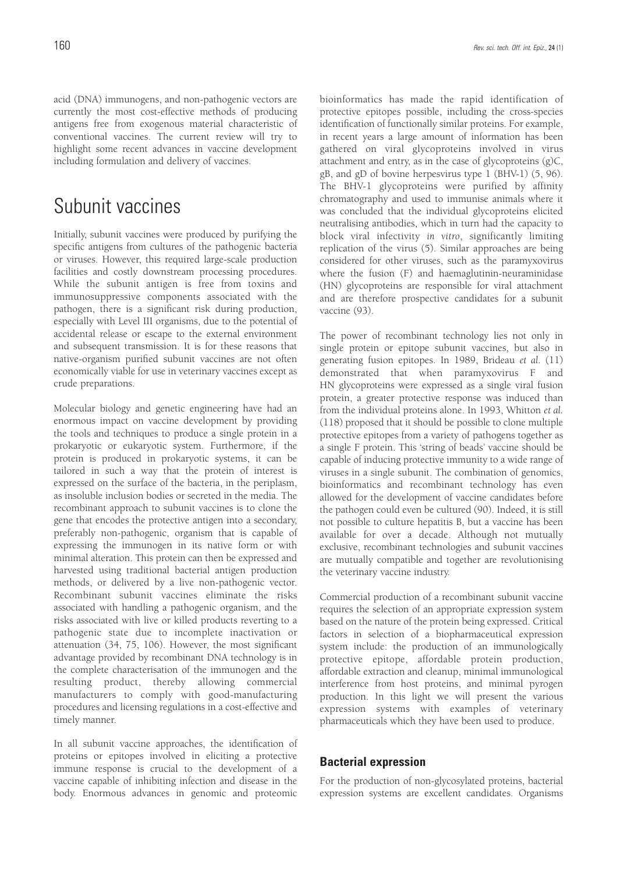acid (DNA) immunogens, and non-pathogenic vectors are currently the most cost-effective methods of producing antigens free from exogenous material characteristic of conventional vaccines. The current review will try to highlight some recent advances in vaccine development including formulation and delivery of vaccines.

# Subunit vaccines

Initially, subunit vaccines were produced by purifying the specific antigens from cultures of the pathogenic bacteria or viruses. However, this required large-scale production facilities and costly downstream processing procedures. While the subunit antigen is free from toxins and immunosuppressive components associated with the pathogen, there is a significant risk during production, especially with Level III organisms, due to the potential of accidental release or escape to the external environment and subsequent transmission. It is for these reasons that native-organism purified subunit vaccines are not often economically viable for use in veterinary vaccines except as crude preparations.

Molecular biology and genetic engineering have had an enormous impact on vaccine development by providing the tools and techniques to produce a single protein in a prokaryotic or eukaryotic system. Furthermore, if the protein is produced in prokaryotic systems, it can be tailored in such a way that the protein of interest is expressed on the surface of the bacteria, in the periplasm, as insoluble inclusion bodies or secreted in the media. The recombinant approach to subunit vaccines is to clone the gene that encodes the protective antigen into a secondary, preferably non-pathogenic, organism that is capable of expressing the immunogen in its native form or with minimal alteration. This protein can then be expressed and harvested using traditional bacterial antigen production methods, or delivered by a live non-pathogenic vector. Recombinant subunit vaccines eliminate the risks associated with handling a pathogenic organism, and the risks associated with live or killed products reverting to a pathogenic state due to incomplete inactivation or attenuation (34, 75, 106). However, the most significant advantage provided by recombinant DNA technology is in the complete characterisation of the immunogen and the resulting product, thereby allowing commercial manufacturers to comply with good-manufacturing procedures and licensing regulations in a cost-effective and timely manner.

In all subunit vaccine approaches, the identification of proteins or epitopes involved in eliciting a protective immune response is crucial to the development of a vaccine capable of inhibiting infection and disease in the body. Enormous advances in genomic and proteomic bioinformatics has made the rapid identification of protective epitopes possible, including the cross-species identification of functionally similar proteins. For example, in recent years a large amount of information has been gathered on viral glycoproteins involved in virus attachment and entry, as in the case of glycoproteins (g)C, gB, and gD of bovine herpesvirus type 1 (BHV-1) (5, 96). The BHV-1 glycoproteins were purified by affinity chromatography and used to immunise animals where it was concluded that the individual glycoproteins elicited neutralising antibodies, which in turn had the capacity to block viral infectivity *in vitro*, significantly limiting replication of the virus (5). Similar approaches are being considered for other viruses, such as the paramyxovirus where the fusion (F) and haemaglutinin-neuraminidase (HN) glycoproteins are responsible for viral attachment and are therefore prospective candidates for a subunit vaccine (93).

The power of recombinant technology lies not only in single protein or epitope subunit vaccines, but also in generating fusion epitopes. In 1989, Brideau *et al.* (11) demonstrated that when paramyxovirus F and HN glycoproteins were expressed as a single viral fusion protein, a greater protective response was induced than from the individual proteins alone. In 1993, Whitton *et al.* (118) proposed that it should be possible to clone multiple protective epitopes from a variety of pathogens together as a single F protein. This 'string of beads' vaccine should be capable of inducing protective immunity to a wide range of viruses in a single subunit. The combination of genomics, bioinformatics and recombinant technology has even allowed for the development of vaccine candidates before the pathogen could even be cultured (90). Indeed, it is still not possible to culture hepatitis B, but a vaccine has been available for over a decade. Although not mutually exclusive, recombinant technologies and subunit vaccines are mutually compatible and together are revolutionising the veterinary vaccine industry.

Commercial production of a recombinant subunit vaccine requires the selection of an appropriate expression system based on the nature of the protein being expressed. Critical factors in selection of a biopharmaceutical expression system include: the production of an immunologically protective epitope, affordable protein production, affordable extraction and cleanup, minimal immunological interference from host proteins, and minimal pyrogen production. In this light we will present the various expression systems with examples of veterinary pharmaceuticals which they have been used to produce.

### **Bacterial expression**

For the production of non-glycosylated proteins, bacterial expression systems are excellent candidates. Organisms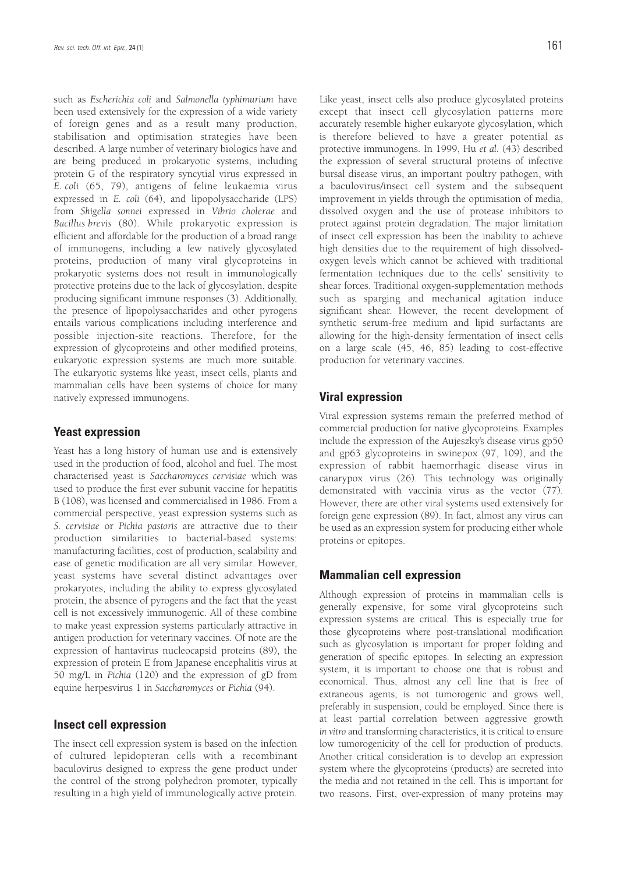such as *Escherichia coli* and *Salmonella typhimurium* have been used extensively for the expression of a wide variety of foreign genes and as a result many production, stabilisation and optimisation strategies have been described. A large number of veterinary biologics have and are being produced in prokaryotic systems, including protein G of the respiratory syncytial virus expressed in *E. coli* (65, 79), antigens of feline leukaemia virus expressed in *E. coli* (64), and lipopolysaccharide (LPS) from *Shigella sonnei* expressed in *Vibrio cholerae* and *Bacillus brevis* (80). While prokaryotic expression is efficient and affordable for the production of a broad range of immunogens, including a few natively glycosylated proteins, production of many viral glycoproteins in prokaryotic systems does not result in immunologically protective proteins due to the lack of glycosylation, despite producing significant immune responses (3). Additionally, the presence of lipopolysaccharides and other pyrogens entails various complications including interference and possible injection-site reactions. Therefore, for the expression of glycoproteins and other modified proteins, eukaryotic expression systems are much more suitable. The eukaryotic systems like yeast, insect cells, plants and mammalian cells have been systems of choice for many natively expressed immunogens.

### **Yeast expression**

Yeast has a long history of human use and is extensively used in the production of food, alcohol and fuel. The most characterised yeast is *Saccharomyces cervisiae* which was used to produce the first ever subunit vaccine for hepatitis B (108), was licensed and commercialised in 1986. From a commercial perspective, yeast expression systems such as *S. cervisiae* or *Pichia pastoris* are attractive due to their production similarities to bacterial-based systems: manufacturing facilities, cost of production, scalability and ease of genetic modification are all very similar. However, yeast systems have several distinct advantages over prokaryotes, including the ability to express glycosylated protein, the absence of pyrogens and the fact that the yeast cell is not excessively immunogenic. All of these combine to make yeast expression systems particularly attractive in antigen production for veterinary vaccines. Of note are the expression of hantavirus nucleocapsid proteins (89), the expression of protein E from Japanese encephalitis virus at 50 mg/L in *Pichia* (120) and the expression of gD from equine herpesvirus 1 in *Saccharomyces* or *Pichia* (94).

#### **Insect cell expression**

The insect cell expression system is based on the infection of cultured lepidopteran cells with a recombinant baculovirus designed to express the gene product under the control of the strong polyhedron promoter, typically resulting in a high yield of immunologically active protein. Like yeast, insect cells also produce glycosylated proteins except that insect cell glycosylation patterns more accurately resemble higher eukaryote glycosylation, which is therefore believed to have a greater potential as protective immunogens. In 1999, Hu *et al.* (43) described the expression of several structural proteins of infective bursal disease virus, an important poultry pathogen, with a baculovirus/insect cell system and the subsequent improvement in yields through the optimisation of media, dissolved oxygen and the use of protease inhibitors to protect against protein degradation. The major limitation of insect cell expression has been the inability to achieve high densities due to the requirement of high dissolvedoxygen levels which cannot be achieved with traditional fermentation techniques due to the cells' sensitivity to shear forces. Traditional oxygen-supplementation methods such as sparging and mechanical agitation induce significant shear. However, the recent development of synthetic serum-free medium and lipid surfactants are allowing for the high-density fermentation of insect cells on a large scale (45, 46, 85) leading to cost-effective production for veterinary vaccines.

### **Viral expression**

Viral expression systems remain the preferred method of commercial production for native glycoproteins. Examples include the expression of the Aujeszky's disease virus gp50 and gp63 glycoproteins in swinepox (97, 109), and the expression of rabbit haemorrhagic disease virus in canarypox virus (26). This technology was originally demonstrated with vaccinia virus as the vector (77). However, there are other viral systems used extensively for foreign gene expression (89). In fact, almost any virus can be used as an expression system for producing either whole proteins or epitopes.

### **Mammalian cell expression**

Although expression of proteins in mammalian cells is generally expensive, for some viral glycoproteins such expression systems are critical. This is especially true for those glycoproteins where post-translational modification such as glycosylation is important for proper folding and generation of specific epitopes. In selecting an expression system, it is important to choose one that is robust and economical. Thus, almost any cell line that is free of extraneous agents, is not tumorogenic and grows well, preferably in suspension, could be employed. Since there is at least partial correlation between aggressive growth *in vitro* and transforming characteristics, it is critical to ensure low tumorogenicity of the cell for production of products. Another critical consideration is to develop an expression system where the glycoproteins (products) are secreted into the media and not retained in the cell. This is important for two reasons. First, over-expression of many proteins may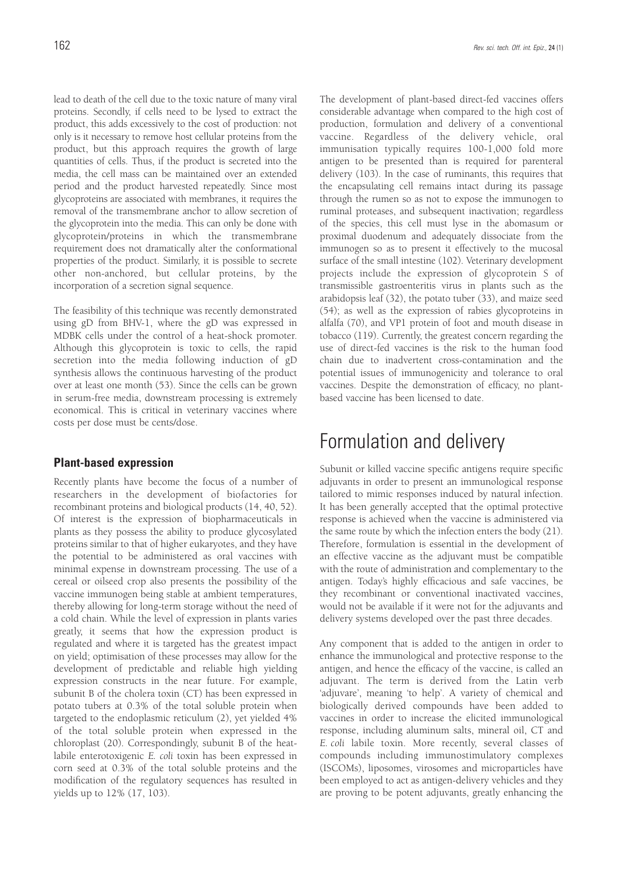lead to death of the cell due to the toxic nature of many viral proteins. Secondly, if cells need to be lysed to extract the product, this adds excessively to the cost of production: not only is it necessary to remove host cellular proteins from the product, but this approach requires the growth of large quantities of cells. Thus, if the product is secreted into the media, the cell mass can be maintained over an extended period and the product harvested repeatedly. Since most glycoproteins are associated with membranes, it requires the removal of the transmembrane anchor to allow secretion of the glycoprotein into the media. This can only be done with glycoprotein/proteins in which the transmembrane requirement does not dramatically alter the conformational properties of the product. Similarly, it is possible to secrete other non-anchored, but cellular proteins, by the incorporation of a secretion signal sequence.

The feasibility of this technique was recently demonstrated using gD from BHV-1, where the gD was expressed in MDBK cells under the control of a heat-shock promoter. Although this glycoprotein is toxic to cells, the rapid secretion into the media following induction of gD synthesis allows the continuous harvesting of the product over at least one month (53). Since the cells can be grown in serum-free media, downstream processing is extremely economical. This is critical in veterinary vaccines where costs per dose must be cents/dose.

## **Plant-based expression**

Recently plants have become the focus of a number of researchers in the development of biofactories for recombinant proteins and biological products (14, 40, 52). Of interest is the expression of biopharmaceuticals in plants as they possess the ability to produce glycosylated proteins similar to that of higher eukaryotes, and they have the potential to be administered as oral vaccines with minimal expense in downstream processing. The use of a cereal or oilseed crop also presents the possibility of the vaccine immunogen being stable at ambient temperatures, thereby allowing for long-term storage without the need of a cold chain. While the level of expression in plants varies greatly, it seems that how the expression product is regulated and where it is targeted has the greatest impact on yield; optimisation of these processes may allow for the development of predictable and reliable high yielding expression constructs in the near future. For example, subunit B of the cholera toxin (CT) has been expressed in potato tubers at 0.3% of the total soluble protein when targeted to the endoplasmic reticulum (2), yet yielded 4% of the total soluble protein when expressed in the chloroplast (20). Correspondingly, subunit B of the heatlabile enterotoxigenic *E. coli* toxin has been expressed in corn seed at 0.3% of the total soluble proteins and the modification of the regulatory sequences has resulted in yields up to 12% (17, 103).

The development of plant-based direct-fed vaccines offers considerable advantage when compared to the high cost of production, formulation and delivery of a conventional vaccine. Regardless of the delivery vehicle, oral immunisation typically requires 100-1,000 fold more antigen to be presented than is required for parenteral delivery (103). In the case of ruminants, this requires that the encapsulating cell remains intact during its passage through the rumen so as not to expose the immunogen to ruminal proteases, and subsequent inactivation; regardless of the species, this cell must lyse in the abomasum or proximal duodenum and adequately dissociate from the immunogen so as to present it effectively to the mucosal surface of the small intestine (102). Veterinary development projects include the expression of glycoprotein S of transmissible gastroenteritis virus in plants such as the arabidopsis leaf (32), the potato tuber (33), and maize seed (54); as well as the expression of rabies glycoproteins in alfalfa (70), and VP1 protein of foot and mouth disease in tobacco (119). Currently, the greatest concern regarding the use of direct-fed vaccines is the risk to the human food chain due to inadvertent cross-contamination and the potential issues of immunogenicity and tolerance to oral vaccines. Despite the demonstration of efficacy, no plantbased vaccine has been licensed to date.

# Formulation and delivery

Subunit or killed vaccine specific antigens require specific adjuvants in order to present an immunological response tailored to mimic responses induced by natural infection. It has been generally accepted that the optimal protective response is achieved when the vaccine is administered via the same route by which the infection enters the body (21). Therefore, formulation is essential in the development of an effective vaccine as the adjuvant must be compatible with the route of administration and complementary to the antigen. Today's highly efficacious and safe vaccines, be they recombinant or conventional inactivated vaccines, would not be available if it were not for the adjuvants and delivery systems developed over the past three decades.

Any component that is added to the antigen in order to enhance the immunological and protective response to the antigen, and hence the efficacy of the vaccine, is called an adjuvant. The term is derived from the Latin verb 'adjuvare', meaning 'to help'. A variety of chemical and biologically derived compounds have been added to vaccines in order to increase the elicited immunological response, including aluminum salts, mineral oil, CT and *E. coli* labile toxin. More recently, several classes of compounds including immunostimulatory complexes (ISCOMs), liposomes, virosomes and microparticles have been employed to act as antigen-delivery vehicles and they are proving to be potent adjuvants, greatly enhancing the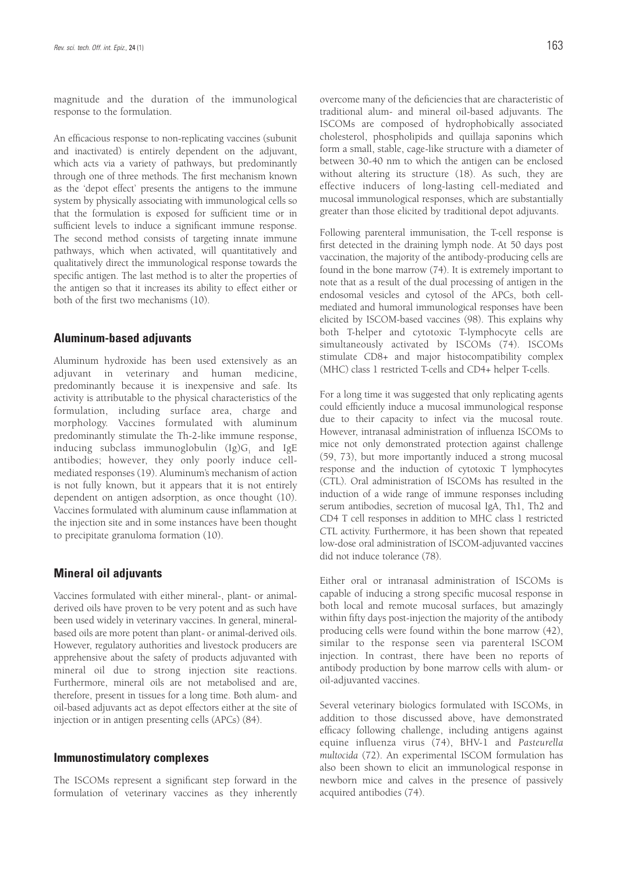magnitude and the duration of the immunological response to the formulation.

An efficacious response to non-replicating vaccines (subunit and inactivated) is entirely dependent on the adjuvant, which acts via a variety of pathways, but predominantly through one of three methods. The first mechanism known as the 'depot effect' presents the antigens to the immune system by physically associating with immunological cells so that the formulation is exposed for sufficient time or in sufficient levels to induce a significant immune response. The second method consists of targeting innate immune pathways, which when activated, will quantitatively and qualitatively direct the immunological response towards the specific antigen. The last method is to alter the properties of the antigen so that it increases its ability to effect either or both of the first two mechanisms (10).

### **Aluminum-based adjuvants**

Aluminum hydroxide has been used extensively as an adjuvant in veterinary and human medicine, predominantly because it is inexpensive and safe. Its activity is attributable to the physical characteristics of the formulation, including surface area, charge and morphology. Vaccines formulated with aluminum predominantly stimulate the Th-2-like immune response, inducing subclass immunoglobulin  $(Ig)G_1$  and IgE antibodies; however, they only poorly induce cellmediated responses (19). Aluminum's mechanism of action is not fully known, but it appears that it is not entirely dependent on antigen adsorption, as once thought (10). Vaccines formulated with aluminum cause inflammation at the injection site and in some instances have been thought to precipitate granuloma formation (10).

## **Mineral oil adjuvants**

Vaccines formulated with either mineral-, plant- or animalderived oils have proven to be very potent and as such have been used widely in veterinary vaccines. In general, mineralbased oils are more potent than plant- or animal-derived oils. However, regulatory authorities and livestock producers are apprehensive about the safety of products adjuvanted with mineral oil due to strong injection site reactions. Furthermore, mineral oils are not metabolised and are, therefore, present in tissues for a long time. Both alum- and oil-based adjuvants act as depot effectors either at the site of injection or in antigen presenting cells (APCs) (84).

#### **Immunostimulatory complexes**

The ISCOMs represent a significant step forward in the formulation of veterinary vaccines as they inherently overcome many of the deficiencies that are characteristic of traditional alum- and mineral oil-based adjuvants. The ISCOMs are composed of hydrophobically associated cholesterol, phospholipids and quillaja saponins which form a small, stable, cage-like structure with a diameter of between 30-40 nm to which the antigen can be enclosed without altering its structure (18). As such, they are effective inducers of long-lasting cell-mediated and mucosal immunological responses, which are substantially greater than those elicited by traditional depot adjuvants.

Following parenteral immunisation, the T-cell response is first detected in the draining lymph node. At 50 days post vaccination, the majority of the antibody-producing cells are found in the bone marrow (74). It is extremely important to note that as a result of the dual processing of antigen in the endosomal vesicles and cytosol of the APCs, both cellmediated and humoral immunological responses have been elicited by ISCOM-based vaccines (98). This explains why both T-helper and cytotoxic T-lymphocyte cells are simultaneously activated by ISCOMs (74). ISCOMs stimulate CD8+ and major histocompatibility complex (MHC) class 1 restricted T-cells and CD4+ helper T-cells.

For a long time it was suggested that only replicating agents could efficiently induce a mucosal immunological response due to their capacity to infect via the mucosal route. However, intranasal administration of influenza ISCOMs to mice not only demonstrated protection against challenge (59, 73), but more importantly induced a strong mucosal response and the induction of cytotoxic T lymphocytes (CTL). Oral administration of ISCOMs has resulted in the induction of a wide range of immune responses including serum antibodies, secretion of mucosal IgA, Th1, Th2 and CD4 T cell responses in addition to MHC class 1 restricted CTL activity. Furthermore, it has been shown that repeated low-dose oral administration of ISCOM-adjuvanted vaccines did not induce tolerance (78).

Either oral or intranasal administration of ISCOMs is capable of inducing a strong specific mucosal response in both local and remote mucosal surfaces, but amazingly within fifty days post-injection the majority of the antibody producing cells were found within the bone marrow (42), similar to the response seen via parenteral ISCOM injection. In contrast, there have been no reports of antibody production by bone marrow cells with alum- or oil-adjuvanted vaccines.

Several veterinary biologics formulated with ISCOMs, in addition to those discussed above, have demonstrated efficacy following challenge, including antigens against equine influenza virus (74), BHV-1 and *Pasteurella multocida* (72). An experimental ISCOM formulation has also been shown to elicit an immunological response in newborn mice and calves in the presence of passively acquired antibodies (74).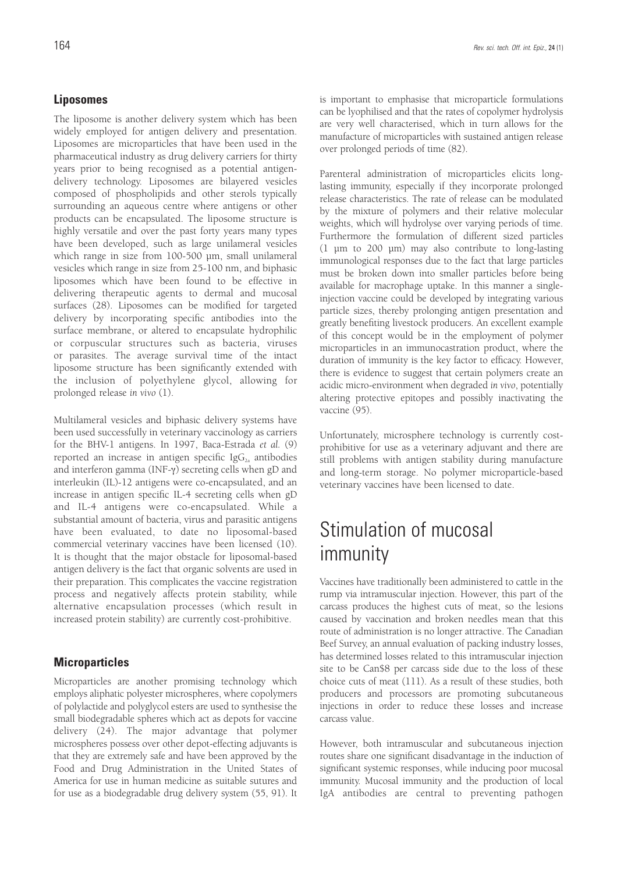## **Liposomes**

The liposome is another delivery system which has been widely employed for antigen delivery and presentation. Liposomes are microparticles that have been used in the pharmaceutical industry as drug delivery carriers for thirty years prior to being recognised as a potential antigendelivery technology. Liposomes are bilayered vesicles composed of phospholipids and other sterols typically surrounding an aqueous centre where antigens or other products can be encapsulated. The liposome structure is highly versatile and over the past forty years many types have been developed, such as large unilameral vesicles which range in size from 100-500 µm, small unilameral vesicles which range in size from 25-100 nm, and biphasic liposomes which have been found to be effective in delivering therapeutic agents to dermal and mucosal surfaces (28). Liposomes can be modified for targeted delivery by incorporating specific antibodies into the surface membrane, or altered to encapsulate hydrophilic or corpuscular structures such as bacteria, viruses or parasites. The average survival time of the intact liposome structure has been significantly extended with the inclusion of polyethylene glycol, allowing for prolonged release *in vivo* (1).

Multilameral vesicles and biphasic delivery systems have been used successfully in veterinary vaccinology as carriers for the BHV-1 antigens. In 1997, Baca-Estrada *et al.* (9) reported an increase in antigen specific  $\text{IgG}_{2a}$  antibodies and interferon gamma (INF-γ) secreting cells when gD and interleukin (IL)-12 antigens were co-encapsulated, and an increase in antigen specific IL-4 secreting cells when gD and IL-4 antigens were co-encapsulated. While a substantial amount of bacteria, virus and parasitic antigens have been evaluated, to date no liposomal-based commercial veterinary vaccines have been licensed (10). It is thought that the major obstacle for liposomal-based antigen delivery is the fact that organic solvents are used in their preparation. This complicates the vaccine registration process and negatively affects protein stability, while alternative encapsulation processes (which result in increased protein stability) are currently cost-prohibitive.

## **Microparticles**

Microparticles are another promising technology which employs aliphatic polyester microspheres, where copolymers of polylactide and polyglycol esters are used to synthesise the small biodegradable spheres which act as depots for vaccine delivery (24). The major advantage that polymer microspheres possess over other depot-effecting adjuvants is that they are extremely safe and have been approved by the Food and Drug Administration in the United States of America for use in human medicine as suitable sutures and for use as a biodegradable drug delivery system (55, 91). It is important to emphasise that microparticle formulations can be lyophilised and that the rates of copolymer hydrolysis are very well characterised, which in turn allows for the manufacture of microparticles with sustained antigen release over prolonged periods of time (82).

Parenteral administration of microparticles elicits longlasting immunity, especially if they incorporate prolonged release characteristics. The rate of release can be modulated by the mixture of polymers and their relative molecular weights, which will hydrolyse over varying periods of time. Furthermore the formulation of different sized particles (1 µm to 200 µm) may also contribute to long-lasting immunological responses due to the fact that large particles must be broken down into smaller particles before being available for macrophage uptake. In this manner a singleinjection vaccine could be developed by integrating various particle sizes, thereby prolonging antigen presentation and greatly benefiting livestock producers. An excellent example of this concept would be in the employment of polymer microparticles in an immunocastration product, where the duration of immunity is the key factor to efficacy. However, there is evidence to suggest that certain polymers create an acidic micro-environment when degraded *in vivo*, potentially altering protective epitopes and possibly inactivating the vaccine (95).

Unfortunately, microsphere technology is currently costprohibitive for use as a veterinary adjuvant and there are still problems with antigen stability during manufacture and long-term storage. No polymer microparticle-based veterinary vaccines have been licensed to date.

# Stimulation of mucosal immunity

Vaccines have traditionally been administered to cattle in the rump via intramuscular injection. However, this part of the carcass produces the highest cuts of meat, so the lesions caused by vaccination and broken needles mean that this route of administration is no longer attractive. The Canadian Beef Survey, an annual evaluation of packing industry losses, has determined losses related to this intramuscular injection site to be Can\$8 per carcass side due to the loss of these choice cuts of meat (111). As a result of these studies, both producers and processors are promoting subcutaneous injections in order to reduce these losses and increase carcass value.

However, both intramuscular and subcutaneous injection routes share one significant disadvantage in the induction of significant systemic responses, while inducing poor mucosal immunity. Mucosal immunity and the production of local IgA antibodies are central to preventing pathogen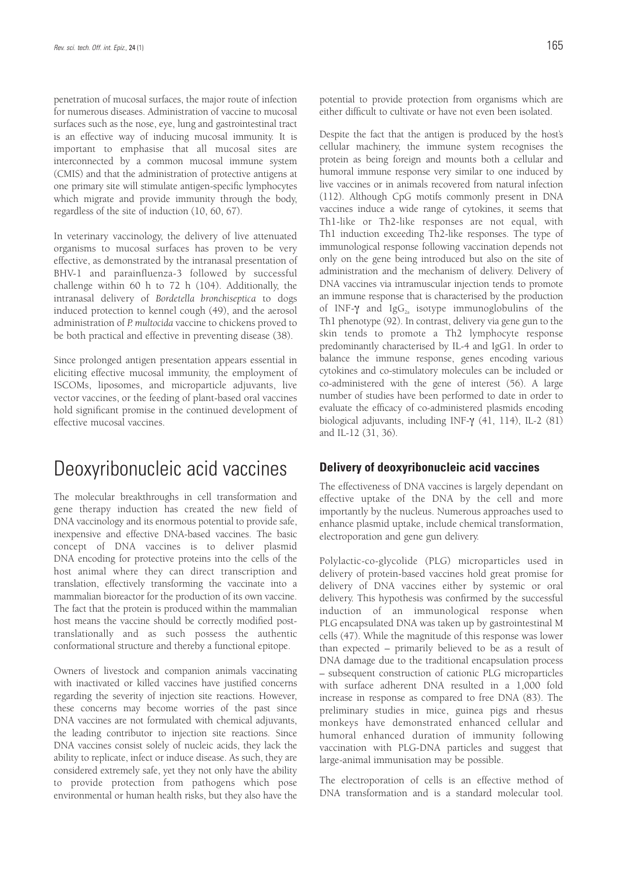penetration of mucosal surfaces, the major route of infection for numerous diseases. Administration of vaccine to mucosal surfaces such as the nose, eye, lung and gastrointestinal tract is an effective way of inducing mucosal immunity. It is important to emphasise that all mucosal sites are interconnected by a common mucosal immune system (CMIS) and that the administration of protective antigens at one primary site will stimulate antigen-specific lymphocytes which migrate and provide immunity through the body, regardless of the site of induction (10, 60, 67).

In veterinary vaccinology, the delivery of live attenuated organisms to mucosal surfaces has proven to be very effective, as demonstrated by the intranasal presentation of BHV-1 and parainfluenza-3 followed by successful challenge within 60 h to 72 h (104). Additionally, the intranasal delivery of *Bordetella bronchiseptica* to dogs induced protection to kennel cough (49), and the aerosol administration of *P. multocida* vaccine to chickens proved to be both practical and effective in preventing disease (38).

Since prolonged antigen presentation appears essential in eliciting effective mucosal immunity, the employment of ISCOMs, liposomes, and microparticle adjuvants, live vector vaccines, or the feeding of plant-based oral vaccines hold significant promise in the continued development of effective mucosal vaccines.

# Deoxyribonucleic acid vaccines

The molecular breakthroughs in cell transformation and gene therapy induction has created the new field of DNA vaccinology and its enormous potential to provide safe, inexpensive and effective DNA-based vaccines. The basic concept of DNA vaccines is to deliver plasmid DNA encoding for protective proteins into the cells of the host animal where they can direct transcription and translation, effectively transforming the vaccinate into a mammalian bioreactor for the production of its own vaccine. The fact that the protein is produced within the mammalian host means the vaccine should be correctly modified posttranslationally and as such possess the authentic conformational structure and thereby a functional epitope.

Owners of livestock and companion animals vaccinating with inactivated or killed vaccines have justified concerns regarding the severity of injection site reactions. However, these concerns may become worries of the past since DNA vaccines are not formulated with chemical adjuvants, the leading contributor to injection site reactions. Since DNA vaccines consist solely of nucleic acids, they lack the ability to replicate, infect or induce disease. As such, they are considered extremely safe, yet they not only have the ability to provide protection from pathogens which pose environmental or human health risks, but they also have the potential to provide protection from organisms which are either difficult to cultivate or have not even been isolated.

Despite the fact that the antigen is produced by the host's cellular machinery, the immune system recognises the protein as being foreign and mounts both a cellular and humoral immune response very similar to one induced by live vaccines or in animals recovered from natural infection (112). Although CpG motifs commonly present in DNA vaccines induce a wide range of cytokines, it seems that Th1-like or Th2-like responses are not equal, with Th1 induction exceeding Th2-like responses. The type of immunological response following vaccination depends not only on the gene being introduced but also on the site of administration and the mechanism of delivery. Delivery of DNA vaccines via intramuscular injection tends to promote an immune response that is characterised by the production of INF- $\gamma$  and IgG<sub>2</sub> isotype immunoglobulins of the Th1 phenotype (92). In contrast, delivery via gene gun to the skin tends to promote a Th2 lymphocyte response predominantly characterised by IL-4 and IgG1. In order to balance the immune response, genes encoding various cytokines and co-stimulatory molecules can be included or co-administered with the gene of interest (56). A large number of studies have been performed to date in order to evaluate the efficacy of co-administered plasmids encoding biological adjuvants, including INF-γ (41, 114), IL-2 (81) and IL-12 (31, 36).

### **Delivery of deoxyribonucleic acid vaccines**

The effectiveness of DNA vaccines is largely dependant on effective uptake of the DNA by the cell and more importantly by the nucleus. Numerous approaches used to enhance plasmid uptake, include chemical transformation, electroporation and gene gun delivery.

Polylactic-co-glycolide (PLG) microparticles used in delivery of protein-based vaccines hold great promise for delivery of DNA vaccines either by systemic or oral delivery. This hypothesis was confirmed by the successful induction of an immunological response when PLG encapsulated DNA was taken up by gastrointestinal M cells (47). While the magnitude of this response was lower than expected – primarily believed to be as a result of DNA damage due to the traditional encapsulation process – subsequent construction of cationic PLG microparticles with surface adherent DNA resulted in a 1,000 fold increase in response as compared to free DNA (83). The preliminary studies in mice, guinea pigs and rhesus monkeys have demonstrated enhanced cellular and humoral enhanced duration of immunity following vaccination with PLG-DNA particles and suggest that large-animal immunisation may be possible.

The electroporation of cells is an effective method of DNA transformation and is a standard molecular tool.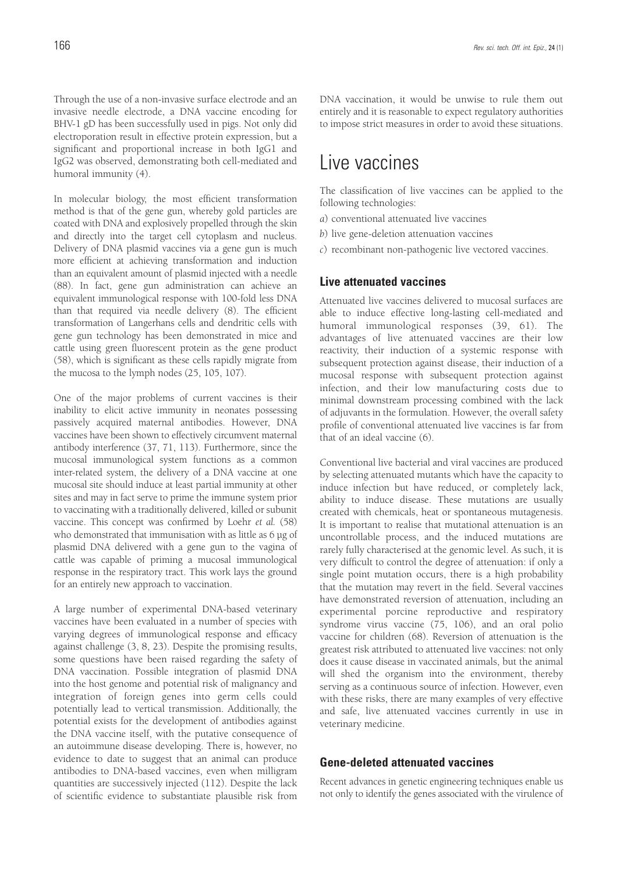Through the use of a non-invasive surface electrode and an invasive needle electrode, a DNA vaccine encoding for BHV-1 gD has been successfully used in pigs. Not only did electroporation result in effective protein expression, but a significant and proportional increase in both IgG1 and IgG2 was observed, demonstrating both cell-mediated and humoral immunity (4).

In molecular biology, the most efficient transformation method is that of the gene gun, whereby gold particles are coated with DNA and explosively propelled through the skin and directly into the target cell cytoplasm and nucleus. Delivery of DNA plasmid vaccines via a gene gun is much more efficient at achieving transformation and induction than an equivalent amount of plasmid injected with a needle (88). In fact, gene gun administration can achieve an equivalent immunological response with 100-fold less DNA than that required via needle delivery (8). The efficient transformation of Langerhans cells and dendritic cells with gene gun technology has been demonstrated in mice and cattle using green fluorescent protein as the gene product (58), which is significant as these cells rapidly migrate from the mucosa to the lymph nodes (25, 105, 107).

One of the major problems of current vaccines is their inability to elicit active immunity in neonates possessing passively acquired maternal antibodies. However, DNA vaccines have been shown to effectively circumvent maternal antibody interference (37, 71, 113). Furthermore, since the mucosal immunological system functions as a common inter-related system, the delivery of a DNA vaccine at one mucosal site should induce at least partial immunity at other sites and may in fact serve to prime the immune system prior to vaccinating with a traditionally delivered, killed or subunit vaccine. This concept was confirmed by Loehr *et al.* (58) who demonstrated that immunisation with as little as 6 µg of plasmid DNA delivered with a gene gun to the vagina of cattle was capable of priming a mucosal immunological response in the respiratory tract. This work lays the ground for an entirely new approach to vaccination.

A large number of experimental DNA-based veterinary vaccines have been evaluated in a number of species with varying degrees of immunological response and efficacy against challenge (3, 8, 23). Despite the promising results, some questions have been raised regarding the safety of DNA vaccination. Possible integration of plasmid DNA into the host genome and potential risk of malignancy and integration of foreign genes into germ cells could potentially lead to vertical transmission. Additionally, the potential exists for the development of antibodies against the DNA vaccine itself, with the putative consequence of an autoimmune disease developing. There is, however, no evidence to date to suggest that an animal can produce antibodies to DNA-based vaccines, even when milligram quantities are successively injected (112). Despite the lack of scientific evidence to substantiate plausible risk from DNA vaccination, it would be unwise to rule them out entirely and it is reasonable to expect regulatory authorities to impose strict measures in order to avoid these situations.

# Live vaccines

The classification of live vaccines can be applied to the following technologies:

- *a*) conventional attenuated live vaccines
- *b*) live gene-deletion attenuation vaccines
- *c*) recombinant non-pathogenic live vectored vaccines.

## **Live attenuated vaccines**

Attenuated live vaccines delivered to mucosal surfaces are able to induce effective long-lasting cell-mediated and humoral immunological responses (39, 61). The advantages of live attenuated vaccines are their low reactivity, their induction of a systemic response with subsequent protection against disease, their induction of a mucosal response with subsequent protection against infection, and their low manufacturing costs due to minimal downstream processing combined with the lack of adjuvants in the formulation. However, the overall safety profile of conventional attenuated live vaccines is far from that of an ideal vaccine (6).

Conventional live bacterial and viral vaccines are produced by selecting attenuated mutants which have the capacity to induce infection but have reduced, or completely lack, ability to induce disease. These mutations are usually created with chemicals, heat or spontaneous mutagenesis. It is important to realise that mutational attenuation is an uncontrollable process, and the induced mutations are rarely fully characterised at the genomic level. As such, it is very difficult to control the degree of attenuation: if only a single point mutation occurs, there is a high probability that the mutation may revert in the field. Several vaccines have demonstrated reversion of attenuation, including an experimental porcine reproductive and respiratory syndrome virus vaccine (75, 106), and an oral polio vaccine for children (68). Reversion of attenuation is the greatest risk attributed to attenuated live vaccines: not only does it cause disease in vaccinated animals, but the animal will shed the organism into the environment, thereby serving as a continuous source of infection. However, even with these risks, there are many examples of very effective and safe, live attenuated vaccines currently in use in veterinary medicine.

### **Gene-deleted attenuated vaccines**

Recent advances in genetic engineering techniques enable us not only to identify the genes associated with the virulence of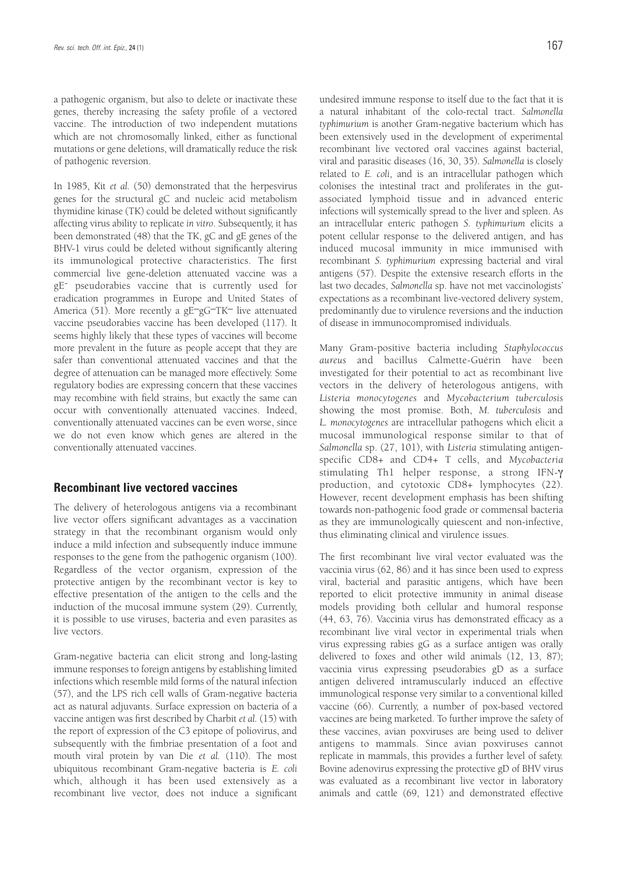a pathogenic organism, but also to delete or inactivate these genes, thereby increasing the safety profile of a vectored vaccine. The introduction of two independent mutations which are not chromosomally linked, either as functional mutations or gene deletions, will dramatically reduce the risk of pathogenic reversion.

In 1985, Kit *et al.* (50) demonstrated that the herpesvirus genes for the structural gC and nucleic acid metabolism thymidine kinase (TK) could be deleted without significantly affecting virus ability to replicate *in vitro*. Subsequently, it has been demonstrated (48) that the TK, gC and gE genes of the BHV-1 virus could be deleted without significantly altering its immunological protective characteristics. The first commercial live gene-deletion attenuated vaccine was a gE- pseudorabies vaccine that is currently used for eradication programmes in Europe and United States of America (51). More recently a gE–gG–TK– live attenuated vaccine pseudorabies vaccine has been developed (117). It seems highly likely that these types of vaccines will become more prevalent in the future as people accept that they are safer than conventional attenuated vaccines and that the degree of attenuation can be managed more effectively. Some regulatory bodies are expressing concern that these vaccines may recombine with field strains, but exactly the same can occur with conventionally attenuated vaccines. Indeed, conventionally attenuated vaccines can be even worse, since we do not even know which genes are altered in the conventionally attenuated vaccines.

## **Recombinant live vectored vaccines**

The delivery of heterologous antigens via a recombinant live vector offers significant advantages as a vaccination strategy in that the recombinant organism would only induce a mild infection and subsequently induce immune responses to the gene from the pathogenic organism (100). Regardless of the vector organism, expression of the protective antigen by the recombinant vector is key to effective presentation of the antigen to the cells and the induction of the mucosal immune system (29). Currently, it is possible to use viruses, bacteria and even parasites as live vectors.

Gram-negative bacteria can elicit strong and long-lasting immune responses to foreign antigens by establishing limited infections which resemble mild forms of the natural infection (57), and the LPS rich cell walls of Gram-negative bacteria act as natural adjuvants. Surface expression on bacteria of a vaccine antigen was first described by Charbit *et al.* (15) with the report of expression of the C3 epitope of poliovirus, and subsequently with the fimbriae presentation of a foot and mouth viral protein by van Die *et al.* (110). The most ubiquitous recombinant Gram-negative bacteria is *E. coli* which, although it has been used extensively as a recombinant live vector, does not induce a significant undesired immune response to itself due to the fact that it is a natural inhabitant of the colo-rectal tract. *Salmonella typhimurium* is another Gram-negative bacterium which has been extensively used in the development of experimental recombinant live vectored oral vaccines against bacterial, viral and parasitic diseases (16, 30, 35). *Salmonella* is closely related to *E. coli*, and is an intracellular pathogen which colonises the intestinal tract and proliferates in the gutassociated lymphoid tissue and in advanced enteric infections will systemically spread to the liver and spleen. As an intracellular enteric pathogen *S. typhimurium* elicits a potent cellular response to the delivered antigen, and has induced mucosal immunity in mice immunised with recombinant *S. typhimurium* expressing bacterial and viral antigens (57). Despite the extensive research efforts in the last two decades, *Salmonella* sp. have not met vaccinologists' expectations as a recombinant live-vectored delivery system, predominantly due to virulence reversions and the induction of disease in immunocompromised individuals.

Many Gram-positive bacteria including *Staphylococcus aureus* and bacillus Calmette-Guérin have been investigated for their potential to act as recombinant live vectors in the delivery of heterologous antigens, with *Listeria monocytogenes* and *Mycobacterium tuberculosis* showing the most promise. Both, *M. tuberculosis* and *L. monocytogenes* are intracellular pathogens which elicit a mucosal immunological response similar to that of *Salmonella* sp. (27, 101), with *Listeria* stimulating antigenspecific CD8+ and CD4+ T cells, and *Mycobacteria* stimulating Th1 helper response, a strong IFN-γ production, and cytotoxic CD8+ lymphocytes (22). However, recent development emphasis has been shifting towards non-pathogenic food grade or commensal bacteria as they are immunologically quiescent and non-infective, thus eliminating clinical and virulence issues.

The first recombinant live viral vector evaluated was the vaccinia virus (62, 86) and it has since been used to express viral, bacterial and parasitic antigens, which have been reported to elicit protective immunity in animal disease models providing both cellular and humoral response (44, 63, 76). Vaccinia virus has demonstrated efficacy as a recombinant live viral vector in experimental trials when virus expressing rabies gG as a surface antigen was orally delivered to foxes and other wild animals (12, 13, 87); vaccinia virus expressing pseudorabies gD as a surface antigen delivered intramuscularly induced an effective immunological response very similar to a conventional killed vaccine (66). Currently, a number of pox-based vectored vaccines are being marketed. To further improve the safety of these vaccines, avian poxviruses are being used to deliver antigens to mammals. Since avian poxviruses cannot replicate in mammals, this provides a further level of safety. Bovine adenovirus expressing the protective gD of BHV virus was evaluated as a recombinant live vector in laboratory animals and cattle (69, 121) and demonstrated effective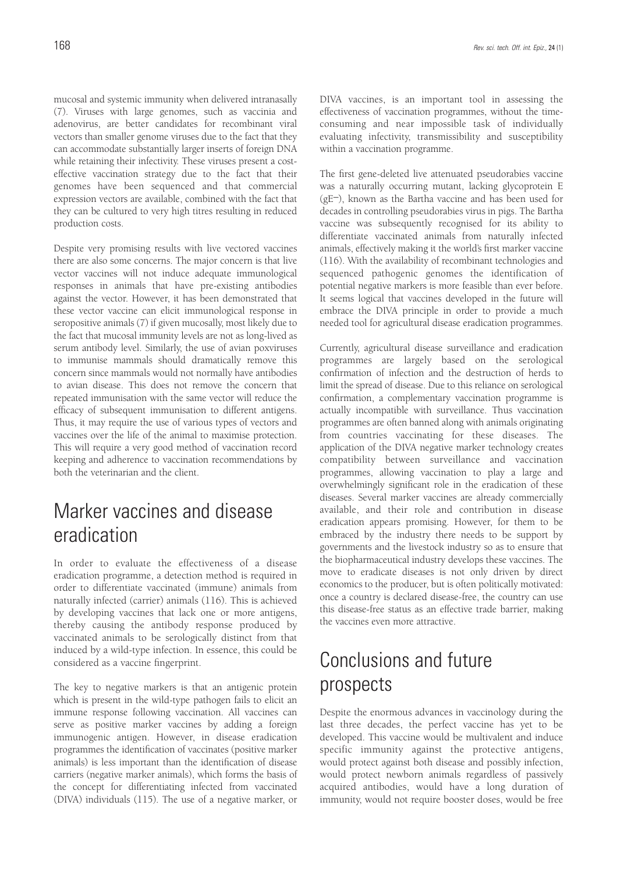mucosal and systemic immunity when delivered intranasally (7). Viruses with large genomes, such as vaccinia and adenovirus, are better candidates for recombinant viral vectors than smaller genome viruses due to the fact that they can accommodate substantially larger inserts of foreign DNA while retaining their infectivity. These viruses present a costeffective vaccination strategy due to the fact that their genomes have been sequenced and that commercial expression vectors are available, combined with the fact that they can be cultured to very high titres resulting in reduced production costs.

Despite very promising results with live vectored vaccines there are also some concerns. The major concern is that live vector vaccines will not induce adequate immunological responses in animals that have pre-existing antibodies against the vector. However, it has been demonstrated that these vector vaccine can elicit immunological response in seropositive animals (7) if given mucosally, most likely due to the fact that mucosal immunity levels are not as long-lived as serum antibody level. Similarly, the use of avian poxviruses to immunise mammals should dramatically remove this concern since mammals would not normally have antibodies to avian disease. This does not remove the concern that repeated immunisation with the same vector will reduce the efficacy of subsequent immunisation to different antigens. Thus, it may require the use of various types of vectors and vaccines over the life of the animal to maximise protection. This will require a very good method of vaccination record keeping and adherence to vaccination recommendations by both the veterinarian and the client.

# Marker vaccines and disease eradication

In order to evaluate the effectiveness of a disease eradication programme, a detection method is required in order to differentiate vaccinated (immune) animals from naturally infected (carrier) animals (116). This is achieved by developing vaccines that lack one or more antigens, thereby causing the antibody response produced by vaccinated animals to be serologically distinct from that induced by a wild-type infection. In essence, this could be considered as a vaccine fingerprint.

The key to negative markers is that an antigenic protein which is present in the wild-type pathogen fails to elicit an immune response following vaccination. All vaccines can serve as positive marker vaccines by adding a foreign immunogenic antigen. However, in disease eradication programmes the identification of vaccinates (positive marker animals) is less important than the identification of disease carriers (negative marker animals), which forms the basis of the concept for differentiating infected from vaccinated (DIVA) individuals (115). The use of a negative marker, or DIVA vaccines, is an important tool in assessing the effectiveness of vaccination programmes, without the timeconsuming and near impossible task of individually evaluating infectivity, transmissibility and susceptibility within a vaccination programme.

The first gene-deleted live attenuated pseudorabies vaccine was a naturally occurring mutant, lacking glycoprotein E (gE–), known as the Bartha vaccine and has been used for decades in controlling pseudorabies virus in pigs. The Bartha vaccine was subsequently recognised for its ability to differentiate vaccinated animals from naturally infected animals, effectively making it the world's first marker vaccine (116). With the availability of recombinant technologies and sequenced pathogenic genomes the identification of potential negative markers is more feasible than ever before. It seems logical that vaccines developed in the future will embrace the DIVA principle in order to provide a much needed tool for agricultural disease eradication programmes.

Currently, agricultural disease surveillance and eradication programmes are largely based on the serological confirmation of infection and the destruction of herds to limit the spread of disease. Due to this reliance on serological confirmation, a complementary vaccination programme is actually incompatible with surveillance. Thus vaccination programmes are often banned along with animals originating from countries vaccinating for these diseases. The application of the DIVA negative marker technology creates compatibility between surveillance and vaccination programmes, allowing vaccination to play a large and overwhelmingly significant role in the eradication of these diseases. Several marker vaccines are already commercially available, and their role and contribution in disease eradication appears promising. However, for them to be embraced by the industry there needs to be support by governments and the livestock industry so as to ensure that the biopharmaceutical industry develops these vaccines. The move to eradicate diseases is not only driven by direct economics to the producer, but is often politically motivated: once a country is declared disease-free, the country can use this disease-free status as an effective trade barrier, making the vaccines even more attractive.

# Conclusions and future prospects

Despite the enormous advances in vaccinology during the last three decades, the perfect vaccine has yet to be developed. This vaccine would be multivalent and induce specific immunity against the protective antigens, would protect against both disease and possibly infection, would protect newborn animals regardless of passively acquired antibodies, would have a long duration of immunity, would not require booster doses, would be free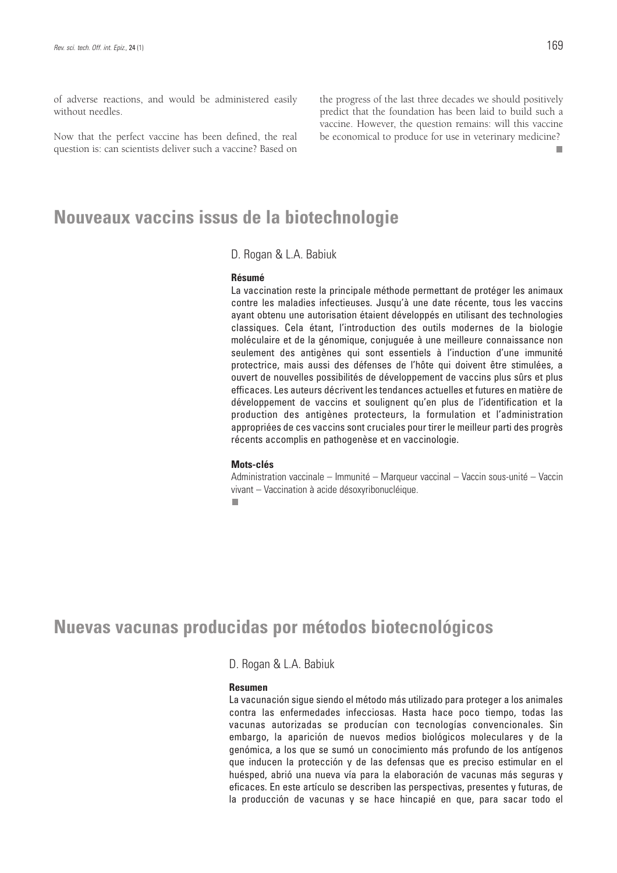of adverse reactions, and would be administered easily without needles.

Now that the perfect vaccine has been defined, the real question is: can scientists deliver such a vaccine? Based on the progress of the last three decades we should positively predict that the foundation has been laid to build such a vaccine. However, the question remains: will this vaccine be economical to produce for use in veterinary medicine? m.

# **Nouveaux vaccins issus de la biotechnologie**

D. Rogan & L.A. Babiuk

#### **Résumé**

La vaccination reste la principale méthode permettant de protéger les animaux contre les maladies infectieuses. Jusqu'à une date récente, tous les vaccins ayant obtenu une autorisation étaient développés en utilisant des technologies classiques. Cela étant, l'introduction des outils modernes de la biologie moléculaire et de la génomique, conjuguée à une meilleure connaissance non seulement des antigènes qui sont essentiels à l'induction d'une immunité protectrice, mais aussi des défenses de l'hôte qui doivent être stimulées, a ouvert de nouvelles possibilités de développement de vaccins plus sûrs et plus efficaces. Les auteurs décrivent les tendances actuelles et futures en matière de développement de vaccins et soulignent qu'en plus de l'identification et la production des antigènes protecteurs, la formulation et l'administration appropriées de ces vaccins sont cruciales pour tirer le meilleur parti des progrès récents accomplis en pathogenèse et en vaccinologie.

#### **Mots-clés**

Administration vaccinale – Immunité – Marqueur vaccinal – Vaccin sous-unité – Vaccin vivant – Vaccination à acide désoxyribonucléique.

п

# **Nuevas vacunas producidas por métodos biotecnológicos**

### D. Rogan & L.A. Babiuk

### **Resumen**

La vacunación sigue siendo el método más utilizado para proteger a los animales contra las enfermedades infecciosas. Hasta hace poco tiempo, todas las vacunas autorizadas se producían con tecnologías convencionales. Sin embargo, la aparición de nuevos medios biológicos moleculares y de la genómica, a los que se sumó un conocimiento más profundo de los antígenos que inducen la protección y de las defensas que es preciso estimular en el huésped, abrió una nueva vía para la elaboración de vacunas más seguras y eficaces. En este artículo se describen las perspectivas, presentes y futuras, de la producción de vacunas y se hace hincapié en que, para sacar todo el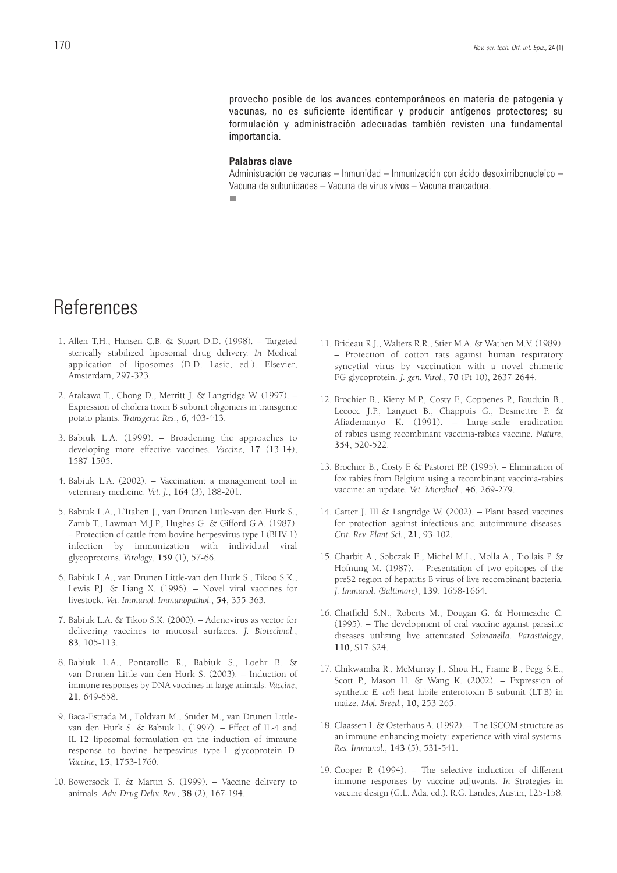provecho posible de los avances contemporáneos en materia de patogenia y vacunas, no es suficiente identificar y producir antígenos protectores; su formulación y administración adecuadas también revisten una fundamental importancia.

#### **Palabras clave**

Administración de vacunas – Inmunidad – Inmunización con ácido desoxirribonucleico – Vacuna de subunidades – Vacuna de virus vivos – Vacuna marcadora. $\overline{\phantom{a}}$ 

# References

- 1. Allen T.H., Hansen C.B. & Stuart D.D. (1998). Targeted sterically stabilized liposomal drug delivery. *In* Medical application of liposomes (D.D. Lasic, ed.). Elsevier, Amsterdam, 297-323.
- 2. Arakawa T., Chong D., Merritt J. & Langridge W. (1997). Expression of cholera toxin B subunit oligomers in transgenic potato plants. *Transgenic Res.*, **6**, 403-413.
- 3. Babiuk L.A. (1999). Broadening the approaches to developing more effective vaccines. *Vaccine*, **17** (13-14), 1587-1595.
- 4. Babiuk L.A. (2002). Vaccination: a management tool in veterinary medicine. *Vet. J.*, **164** (3), 188-201.
- 5. Babiuk L.A., L'Italien J., van Drunen Little-van den Hurk S., Zamb T., Lawman M.J.P., Hughes G. & Gifford G.A. (1987). – Protection of cattle from bovine herpesvirus type I (BHV-1) infection by immunization with individual viral glycoproteins. *Virology*, **159** (1), 57-66.
- 6. Babiuk L.A., van Drunen Little-van den Hurk S., Tikoo S.K., Lewis P.J. & Liang X. (1996). – Novel viral vaccines for livestock. *Vet. Immunol. Immunopathol.*, **54**, 355-363.
- 7. Babiuk L.A. & Tikoo S.K. (2000). Adenovirus as vector for delivering vaccines to mucosal surfaces. *J. Biotechnol.*, **83**, 105-113.
- 8. Babiuk L.A., Pontarollo R., Babiuk S., Loehr B. & van Drunen Little-van den Hurk S. (2003). – Induction of immune responses by DNA vaccines in large animals. *Vaccine*, **21**, 649-658.
- 9. Baca-Estrada M., Foldvari M., Snider M., van Drunen Littlevan den Hurk S. & Babiuk L. (1997). – Effect of IL-4 and IL-12 liposomal formulation on the induction of immune response to bovine herpesvirus type-1 glycoprotein D. *Vaccine*, **15**, 1753-1760.
- 10. Bowersock T. & Martin S. (1999). Vaccine delivery to animals. *Adv. Drug Deliv. Rev.*, **38** (2), 167-194.
- 11. Brideau R.J., Walters R.R., Stier M.A. & Wathen M.V. (1989). – Protection of cotton rats against human respiratory syncytial virus by vaccination with a novel chimeric FG glycoprotein. *J. gen. Virol.*, **70** (Pt 10), 2637-2644.
- 12. Brochier B., Kieny M.P., Costy F., Coppenes P., Bauduin B., Lecocq J.P., Languet B., Chappuis G., Desmettre P. & Afiademanyo K. (1991). – Large-scale eradication of rabies using recombinant vaccinia-rabies vaccine. *Nature*, **354**, 520-522.
- 13. Brochier B., Costy F. & Pastoret P.P. (1995). Elimination of fox rabies from Belgium using a recombinant vaccinia-rabies vaccine: an update. *Vet. Microbiol.*, **46**, 269-279.
- 14. Carter J. III & Langridge W. (2002). Plant based vaccines for protection against infectious and autoimmune diseases. *Crit. Rev. Plant Sci.*, **21**, 93-102.
- 15. Charbit A., Sobczak E., Michel M.L., Molla A., Tiollais P. & Hofnung M. (1987). – Presentation of two epitopes of the preS2 region of hepatitis B virus of live recombinant bacteria. *J. Immunol. (Baltimore)*, **139**, 1658-1664.
- 16. Chatfield S.N., Roberts M., Dougan G. & Hormeache C. (1995). – The development of oral vaccine against parasitic diseases utilizing live attenuated *Salmonella*. *Parasitology*, **110**, S17-S24.
- 17. Chikwamba R., McMurray J., Shou H., Frame B., Pegg S.E., Scott P., Mason H. & Wang K. (2002). – Expression of synthetic *E. coli* heat labile enterotoxin B subunit (LT-B) in maize. *Mol. Breed.*, **10**, 253-265.
- 18. Claassen I. & Osterhaus A. (1992). The ISCOM structure as an immune-enhancing moiety: experience with viral systems. *Res. Immunol.*, **143** (5), 531-541.
- 19. Cooper P. (1994). The selective induction of different immune responses by vaccine adjuvants*. In* Strategies in vaccine design (G.L. Ada, ed.). R.G. Landes, Austin, 125-158.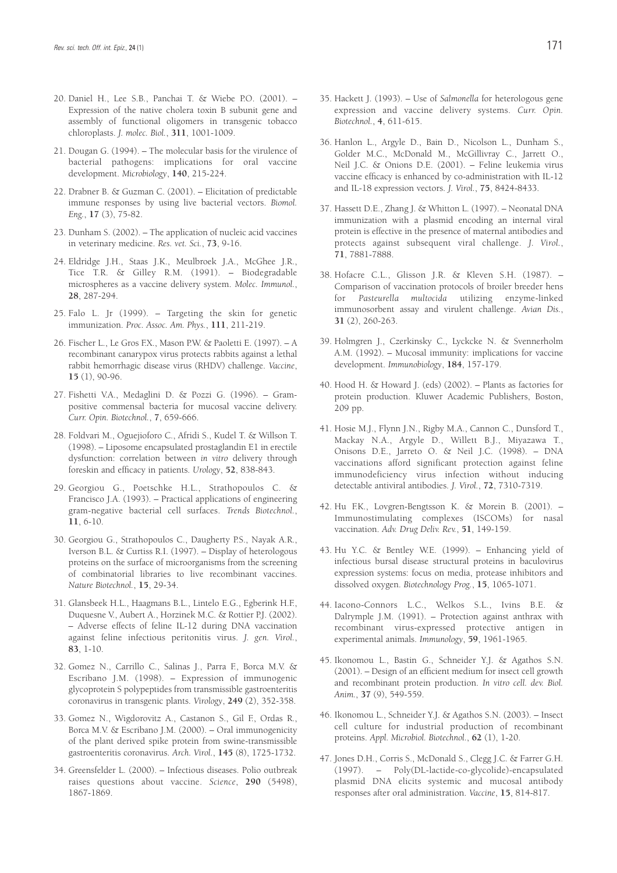- 20. Daniel H., Lee S.B., Panchai T. & Wiebe P.O. (2001). Expression of the native cholera toxin B subunit gene and assembly of functional oligomers in transgenic tobacco chloroplasts. *J. molec. Biol.*, **311**, 1001-1009.
- 21. Dougan G. (1994). The molecular basis for the virulence of bacterial pathogens: implications for oral vaccine development. *Microbiology*, **140**, 215-224.
- 22. Drabner B. & Guzman C. (2001). Elicitation of predictable immune responses by using live bacterial vectors. *Biomol. Eng.*, **17** (3), 75-82.
- 23. Dunham S. (2002). The application of nucleic acid vaccines in veterinary medicine. *Res. vet. Sci.*, **73**, 9-16.
- 24. Eldridge J.H., Staas J.K., Meulbroek J.A., McGhee J.R., Tice T.R. & Gilley R.M. (1991). – Biodegradable microspheres as a vaccine delivery system. *Molec. Immunol.*, **28**, 287-294.
- 25. Falo L. Jr (1999). Targeting the skin for genetic immunization. *Proc. Assoc. Am. Phys.*, **111**, 211-219.
- 26. Fischer L., Le Gros F.X., Mason P.W. & Paoletti E. (1997). A recombinant canarypox virus protects rabbits against a lethal rabbit hemorrhagic disease virus (RHDV) challenge. *Vaccine*, **15** (1), 90-96.
- 27. Fishetti V.A., Medaglini D. & Pozzi G. (1996). Grampositive commensal bacteria for mucosal vaccine delivery. *Curr. Opin. Biotechnol.*, **7**, 659-666.
- 28. Foldvari M., Oguejioforo C., Afridi S., Kudel T. & Willson T. (1998). – Liposome encapsulated prostaglandin E1 in erectile dysfunction: correlation between *in vitro* delivery through foreskin and efficacy in patients. *Urology*, **52**, 838-843.
- 29. Georgiou G., Poetschke H.L., Strathopoulos C. & Francisco J.A. (1993). – Practical applications of engineering gram-negative bacterial cell surfaces. *Trends Biotechnol.*, **11**, 6-10.
- 30. Georgiou G., Strathopoulos C., Daugherty P.S., Nayak A.R., Iverson B.L. & Curtiss R.I. (1997). – Display of heterologous proteins on the surface of microorganisms from the screening of combinatorial libraries to live recombinant vaccines. *Nature Biotechnol.*, **15**, 29-34.
- 31. Glansbeek H.L., Haagmans B.L., Lintelo E.G., Egberink H.F., Duquesne V., Aubert A., Horzinek M.C. & Rottier P.J. (2002). – Adverse effects of feline IL-12 during DNA vaccination against feline infectious peritonitis virus. *J. gen. Virol.*, **83**, 1-10.
- 32. Gomez N., Carrillo C., Salinas J., Parra F., Borca M.V. & Escribano J.M. (1998). – Expression of immunogenic glycoprotein S polypeptides from transmissible gastroenteritis coronavirus in transgenic plants. *Virology*, **249** (2), 352-358.
- 33. Gomez N., Wigdorovitz A., Castanon S., Gil F., Ordas R., Borca M.V. & Escribano J.M. (2000). – Oral immunogenicity of the plant derived spike protein from swine-transmissible gastroenteritis coronavirus. *Arch. Virol.*, **145** (8), 1725-1732.
- 34. Greensfelder L. (2000). Infectious diseases. Polio outbreak raises questions about vaccine. *Science*, **290** (5498), 1867-1869.
- 35. Hackett J. (1993). Use of *Salmonella* for heterologous gene expression and vaccine delivery systems. *Curr. Opin. Biotechnol.*, **4**, 611-615.
- 36. Hanlon L., Argyle D., Bain D., Nicolson L., Dunham S., Golder M.C., McDonald M., McGillivray C., Jarrett O., Neil J.C. & Onions D.E. (2001). – Feline leukemia virus vaccine efficacy is enhanced by co-administration with IL-12 and IL-18 expression vectors. *J. Virol.*, **75**, 8424-8433.
- 37. Hassett D.E., Zhang J. & Whitton L. (1997). Neonatal DNA immunization with a plasmid encoding an internal viral protein is effective in the presence of maternal antibodies and protects against subsequent viral challenge. *J. Virol.*, **71**, 7881-7888.
- 38. Hofacre C.L., Glisson J.R. & Kleven S.H. (1987). Comparison of vaccination protocols of broiler breeder hens for *Pasteurella multocida* utilizing enzyme-linked immunosorbent assay and virulent challenge. *Avian Dis.*, **31** (2), 260-263.
- 39. Holmgren J., Czerkinsky C., Lyckcke N. & Svennerholm A.M. (1992). – Mucosal immunity: implications for vaccine development. *Immunobiology*, **184**, 157-179.
- 40. Hood H. & Howard J. (eds) (2002). Plants as factories for protein production. Kluwer Academic Publishers, Boston, 209 pp.
- 41. Hosie M.J., Flynn J.N., Rigby M.A., Cannon C., Dunsford T., Mackay N.A., Argyle D., Willett B.J., Miyazawa T., Onisons D.E., Jarreto O. & Neil J.C. (1998). – DNA vaccinations afford significant protection against feline immunodeficiency virus infection without inducing detectable antiviral antibodies. *J. Virol.*, **72**, 7310-7319.
- 42. Hu F.K., Lovgren-Bengtsson K. & Morein B. (2001). Immunostimulating complexes (ISCOMs) for nasal vaccination. *Adv. Drug Deliv. Rev.*, **51**, 149-159.
- 43. Hu Y.C. & Bentley W.E. (1999). Enhancing yield of infectious bursal disease structural proteins in baculovirus expression systems: focus on media, protease inhibitors and dissolved oxygen. *Biotechnology Prog.*, **15**, 1065-1071.
- 44. Iacono-Connors L.C., Welkos S.L., Ivins B.E. & Dalrymple J.M. (1991). – Protection against anthrax with recombinant virus-expressed protective antigen in experimental animals. *Immunology*, **59**, 1961-1965.
- 45. Ikonomou L., Bastin G., Schneider Y.J. & Agathos S.N. (2001). – Design of an efficient medium for insect cell growth and recombinant protein production. *In vitro cell. dev. Biol. Anim.*, **37** (9), 549-559.
- 46. Ikonomou L., Schneider Y.J. & Agathos S.N. (2003). Insect cell culture for industrial production of recombinant proteins. *Appl. Microbiol. Biotechnol.*, **62** (1), 1-20.
- 47. Jones D.H., Corris S., McDonald S., Clegg J.C. & Farrer G.H. (1997). – Poly(DL-lactide-co-glycolide)-encapsulated plasmid DNA elicits systemic and mucosal antibody responses after oral administration. *Vaccine*, **15**, 814-817.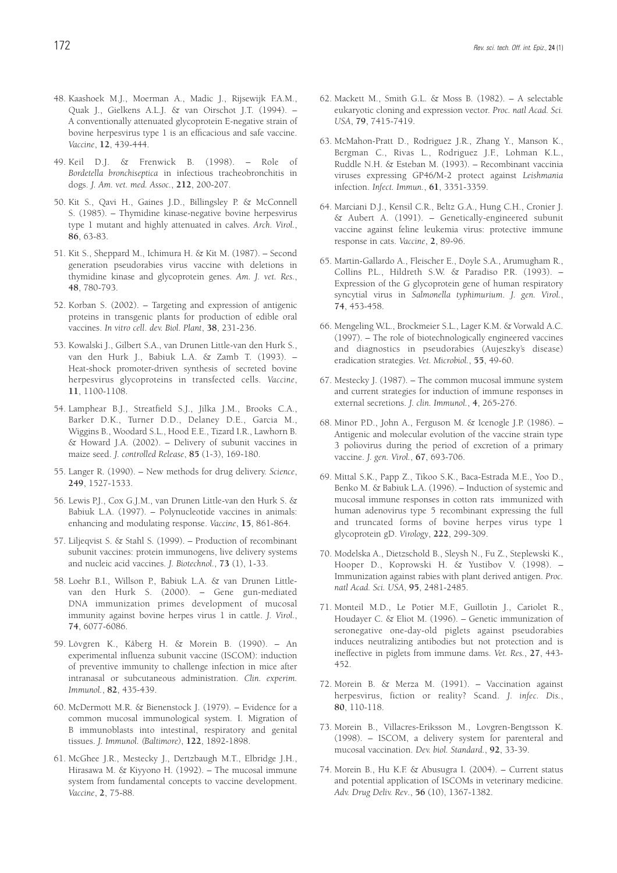- 48. Kaashoek M.J., Moerman A., Madic J., Rijsewijk F.A.M., Quak J., Gielkens A.L.J. & van Oirschot J.T. (1994). – A conventionally attenuated glycoprotein E-negative strain of bovine herpesvirus type 1 is an efficacious and safe vaccine. *Vaccine*, **12**, 439-444.
- 49. Keil D.J. & Frenwick B. (1998). Role of *Bordetella bronchiseptica* in infectious tracheobronchitis in dogs. *J. Am. vet. med. Assoc.*, **212**, 200-207.
- 50. Kit S., Qavi H., Gaines J.D., Billingsley P. & McConnell S. (1985). – Thymidine kinase-negative bovine herpesvirus type 1 mutant and highly attenuated in calves. *Arch. Virol.*, **86**, 63-83.
- 51. Kit S., Sheppard M., Ichimura H. & Kit M. (1987). Second generation pseudorabies virus vaccine with deletions in thymidine kinase and glycoprotein genes. *Am. J. vet. Res.*, **48**, 780-793.
- 52. Korban S. (2002). Targeting and expression of antigenic proteins in transgenic plants for production of edible oral vaccines. *In vitro cell*. *dev. Biol. Plant*, **38**, 231-236.
- 53. Kowalski J., Gilbert S.A., van Drunen Little-van den Hurk S., van den Hurk J., Babiuk L.A. & Zamb T. (1993). – Heat-shock promoter-driven synthesis of secreted bovine herpesvirus glycoproteins in transfected cells. *Vaccine*, **11**, 1100-1108.
- 54. Lamphear B.J., Streatfield S.J., Jilka J.M., Brooks C.A., Barker D.K., Turner D.D., Delaney D.E., Garcia M., Wiggins B., Woodard S.L., Hood E.E., Tizard I.R., Lawhorn B. & Howard J.A. (2002). – Delivery of subunit vaccines in maize seed. *J. controlled Release*, **85** (1-3), 169-180.
- 55. Langer R. (1990). New methods for drug delivery. *Science*, **249**, 1527-1533.
- 56. Lewis P.J., Cox G.J.M., van Drunen Little-van den Hurk S. & Babiuk L.A. (1997). – Polynucleotide vaccines in animals: enhancing and modulating response. *Vaccine*, **15**, 861-864.
- 57. Liljeqvist S. & Stahl S. (1999). Production of recombinant subunit vaccines: protein immunogens, live delivery systems and nucleic acid vaccines. *J. Biotechnol.*, **73** (1), 1-33.
- 58. Loehr B.I., Willson P., Babiuk L.A. & van Drunen Littlevan den Hurk S. (2000). – Gene gun-mediated DNA immunization primes development of mucosal immunity against bovine herpes virus 1 in cattle. *J. Virol.*, **74**, 6077-6086.
- 59. Lövgren K., Kåberg H. & Morein B. (1990). An experimental influenza subunit vaccine (ISCOM): induction of preventive immunity to challenge infection in mice after intranasal or subcutaneous administration. *Clin. experim. Immunol.*, **82**, 435-439.
- 60. McDermott M.R. & Bienenstock J. (1979). Evidence for a common mucosal immunological system. I. Migration of B immunoblasts into intestinal, respiratory and genital tissues. *J. Immunol. (Baltimore)*, **122**, 1892-1898.
- 61. McGhee J.R., Mestecky J., Dertzbaugh M.T., Elbridge J.H., Hirasawa M. & Kiyyono H. (1992). – The mucosal immune system from fundamental concepts to vaccine development. *Vaccine*, **2**, 75-88.
- 62. Mackett M., Smith G.L. & Moss B. (1982). A selectable eukaryotic cloning and expression vector. *Proc. natl Acad. Sci. USA*, **79**, 7415-7419.
- 63. McMahon-Pratt D., Rodriguez J.R., Zhang Y., Manson K., Bergman C., Rivas L., Rodriguez J.F., Lohman K.L., Ruddle N.H. & Esteban M. (1993). – Recombinant vaccinia viruses expressing GP46/M-2 protect against *Leishmania* infection. *Infect. Immun.*, **61**, 3351-3359.
- 64. Marciani D.J., Kensil C.R., Beltz G.A., Hung C.H., Cronier J. & Aubert A. (1991). – Genetically-engineered subunit vaccine against feline leukemia virus: protective immune response in cats. *Vaccine*, **2**, 89-96.
- 65. Martin-Gallardo A., Fleischer E., Doyle S.A., Arumugham R., Collins P.L., Hildreth S.W. & Paradiso P.R. (1993). – Expression of the G glycoprotein gene of human respiratory syncytial virus in *Salmonella typhimurium*. *J. gen. Virol.*, **74**, 453-458.
- 66. Mengeling W.L., Brockmeier S.L., Lager K.M. & Vorwald A.C. (1997). – The role of biotechnologically engineered vaccines and diagnostics in pseudorabies (Aujeszky's disease) eradication strategies. *Vet. Microbiol.*, **55**, 49-60.
- 67. Mestecky J. (1987). The common mucosal immune system and current strategies for induction of immune responses in external secretions. *J. clin. Immunol.*, **4**, 265-276.
- 68. Minor P.D., John A., Ferguson M. & Icenogle J.P. (1986). Antigenic and molecular evolution of the vaccine strain type 3 poliovirus during the period of excretion of a primary vaccine. *J. gen. Virol.*, **67**, 693-706.
- 69. Mittal S.K., Papp Z., Tikoo S.K., Baca-Estrada M.E., Yoo D., Benko M. & Babiuk L.A. (1996). – Induction of systemic and mucosal immune responses in cotton rats immunized with human adenovirus type 5 recombinant expressing the full and truncated forms of bovine herpes virus type 1 glycoprotein gD. *Virology*, **222**, 299-309.
- 70. Modelska A., Dietzschold B., Sleysh N., Fu Z., Steplewski K., Hooper D., Koprowski H. & Yustibov V. (1998). – Immunization against rabies with plant derived antigen. *Proc. natl Acad. Sci. USA*, **95**, 2481-2485.
- 71. Monteil M.D., Le Potier M.F., Guillotin J., Cariolet R., Houdayer C. & Eliot M. (1996). – Genetic immunization of seronegative one-day-old piglets against pseudorabies induces neutralizing antibodies but not protection and is ineffective in piglets from immune dams. *Vet. Res.*, **27**, 443- 452.
- 72. Morein B. & Merza M. (1991). Vaccination against herpesvirus, fiction or reality? Scand. *J. infec. Dis.*, **80**, 110-118.
- 73. Morein B., Villacres-Eriksson M., Lovgren-Bengtsson K. (1998). – ISCOM, a delivery system for parenteral and mucosal vaccination. *Dev. biol. Standard.*, **92**, 33-39.
- 74. Morein B., Hu K.F. & Abusugra I. (2004). Current status and potential application of ISCOMs in veterinary medicine. *Adv. Drug Deliv. Rev*., **56** (10), 1367-1382.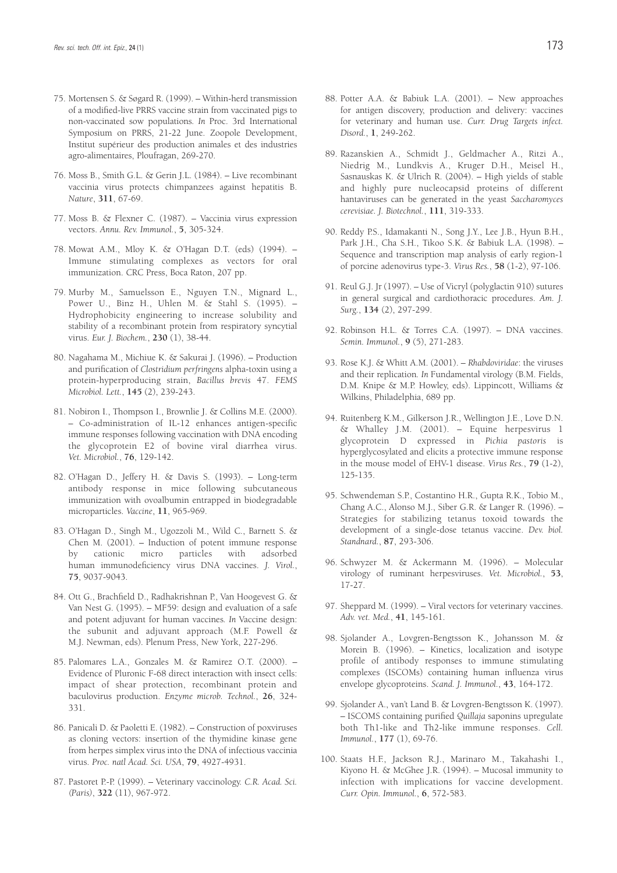- 75. Mortensen S. & Søgard R. (1999). Within-herd transmission of a modified-live PRRS vaccine strain from vaccinated pigs to non-vaccinated sow populations*. In* Proc. 3rd International Symposium on PRRS, 21-22 June. Zoopole Development, Institut supérieur des production animales et des industries agro-alimentaires, Ploufragan, 269-270.
- 76. Moss B., Smith G.L. & Gerin J.L. (1984). Live recombinant vaccinia virus protects chimpanzees against hepatitis B. *Nature*, **311**, 67-69.
- 77. Moss B. & Flexner C. (1987). Vaccinia virus expression vectors. *Annu. Rev. Immunol.*, **5**, 305-324.
- 78. Mowat A.M., Mloy K. & O'Hagan D.T. (eds) (1994). Immune stimulating complexes as vectors for oral immunization. CRC Press, Boca Raton, 207 pp.
- 79. Murby M., Samuelsson E., Nguyen T.N., Mignard L., Power U., Binz H., Uhlen M. & Stahl S. (1995). – Hydrophobicity engineering to increase solubility and stability of a recombinant protein from respiratory syncytial virus. *Eur. J. Biochem.*, **230** (1), 38-44.
- 80. Nagahama M., Michiue K. & Sakurai J. (1996). Production and purification of *Clostridium perfringens* alpha-toxin using a protein-hyperproducing strain, *Bacillus brevis* 47. *FEMS Microbiol. Lett.*, **145** (2), 239-243.
- 81. Nobiron I., Thompson I., Brownlie J. & Collins M.E. (2000). – Co-administration of IL-12 enhances antigen-specific immune responses following vaccination with DNA encoding the glycoprotein E2 of bovine viral diarrhea virus. *Vet. Microbiol.*, **76**, 129-142.
- 82. O'Hagan D., Jeffery H. & Davis S. (1993). Long-term antibody response in mice following subcutaneous immunization with ovoalbumin entrapped in biodegradable microparticles. *Vaccine*, **11**, 965-969.
- 83. O'Hagan D., Singh M., Ugozzoli M., Wild C., Barnett S. & Chen M. (2001). – Induction of potent immune response<br>by cationic micro particles with adsorbed by cationic micro particles human immunodeficiency virus DNA vaccines. *J. Virol.*, **75**, 9037-9043.
- 84. Ott G., Brachfield D., Radhakrishnan P., Van Hoogevest G. & Van Nest G. (1995). – MF59: design and evaluation of a safe and potent adjuvant for human vaccines*. In* Vaccine design: the subunit and adjuvant approach (M.F. Powell & M.J. Newman, eds). Plenum Press, New York, 227-296.
- 85. Palomares L.A., Gonzales M. & Ramirez O.T. (2000). Evidence of Pluronic F-68 direct interaction with insect cells: impact of shear protection, recombinant protein and baculovirus production. *Enzyme microb. Technol.*, **26**, 324- 331.
- 86. Panicali D. & Paoletti E. (1982). Construction of poxviruses as cloning vectors: insertion of the thymidine kinase gene from herpes simplex virus into the DNA of infectious vaccinia virus. *Proc. natl Acad. Sci. USA*, **79**, 4927-4931.
- 87. Pastoret P.-P. (1999). Veterinary vaccinology. *C.R. Acad. Sci. (Paris)*, **322** (11), 967-972.
- 88. Potter A.A. & Babiuk L.A. (2001). New approaches for antigen discovery, production and delivery: vaccines for veterinary and human use. *Curr. Drug Targets infect. Disord.*, **1**, 249-262.
- 89. Razanskien A., Schmidt J., Geldmacher A., Ritzi A., Niedrig M., Lundkvis A., Kruger D.H., Meisel H., Sasnauskas K. & Ulrich R. (2004). – High yields of stable and highly pure nucleocapsid proteins of different hantaviruses can be generated in the yeast *Saccharomyces cerevisiae. J. Biotechnol.*, **111**, 319-333.
- 90. Reddy P.S., Idamakanti N., Song J.Y., Lee J.B., Hyun B.H., Park J.H., Cha S.H., Tikoo S.K. & Babiuk L.A. (1998). – Sequence and transcription map analysis of early region-1 of porcine adenovirus type-3. *Virus Res.*, **58** (1-2), 97-106.
- 91. Reul G.J. Jr (1997). Use of Vicryl (polyglactin 910) sutures in general surgical and cardiothoracic procedures. *Am. J. Surg.*, **134** (2), 297-299.
- 92. Robinson H.L. & Torres C.A. (1997). DNA vaccines. *Semin. Immunol.*, **9** (5), 271-283.
- 93. Rose K.J. & Whitt A.M. (2001). *Rhabdoviridae*: the viruses and their replication*. In* Fundamental virology (B.M. Fields, D.M. Knipe & M.P. Howley, eds). Lippincott, Williams & Wilkins, Philadelphia, 689 pp.
- 94. Ruitenberg K.M., Gilkerson J.R., Wellington J.E., Love D.N. & Whalley J.M. (2001). – Equine herpesvirus 1 glycoprotein D expressed in *Pichia pastoris* is hyperglycosylated and elicits a protective immune response in the mouse model of EHV-1 disease. *Virus Res.*, **79** (1-2), 125-135.
- 95. Schwendeman S.P., Costantino H.R., Gupta R.K., Tobio M., Chang A.C., Alonso M.J., Siber G.R. & Langer R. (1996). – Strategies for stabilizing tetanus toxoid towards the development of a single-dose tetanus vaccine. *Dev. biol. Standnard.*, **87**, 293-306.
- 96. Schwyzer M. & Ackermann M. (1996). Molecular virology of ruminant herpesviruses. *Vet. Microbiol.*, **53**, 17-27.
- 97. Sheppard M. (1999). Viral vectors for veterinary vaccines. *Adv. vet. Med.*, **41**, 145-161.
- 98. Sjolander A., Lovgren-Bengtsson K., Johansson M. & Morein B. (1996). – Kinetics, localization and isotype profile of antibody responses to immune stimulating complexes (ISCOMs) containing human influenza virus envelope glycoproteins. *Scand. J. Immunol.*, **43**, 164-172.
- 99. Sjolander A., van't Land B. & Lovgren-Bengtsson K. (1997). – ISCOMS containing purified *Quillaja* saponins upregulate both Th1-like and Th2-like immune responses. *Cell. Immunol.*, **177** (1), 69-76.
- 100. Staats H.F., Jackson R.J., Marinaro M., Takahashi I., Kiyono H. & McGhee J.R. (1994). – Mucosal immunity to infection with implications for vaccine development. *Curr. Opin. Immunol.*, **6**, 572-583.